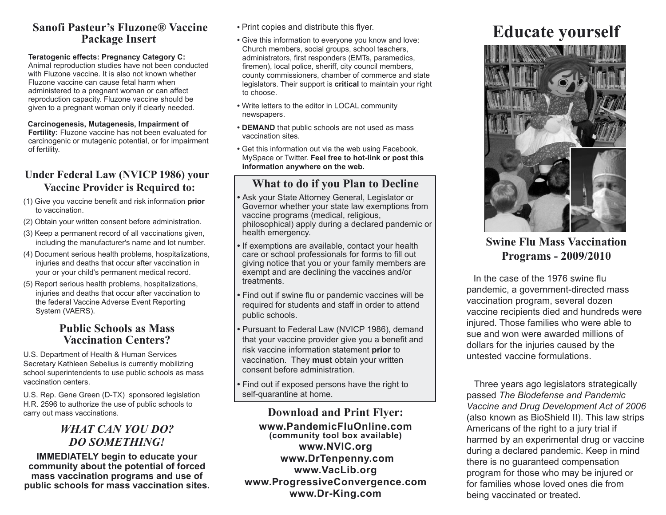#### **Sanofi Pasteur's Fluzone® Vaccine Package Insert**

#### **Teratogenic effects: Pregnancy Category C:**

Animal reproduction studies have not been conducted with Fluzone vaccine. It is also not known whether Fluzone vaccine can cause fetal harm when administered to a pregnant woman or can affect reproduction capacity. Fluzone vaccine should be given to a pregnant woman only if clearly needed.

#### **Carcinogenesis, Mutagenesis, Impairment of**

**Fertility:** Fluzone vaccine has not been evaluated for carcinogenic or mutagenic potential, or for impairment of fertility.

#### **Under Federal Law (NVICP 1986) your Vaccine Provider is Required to:**

- (1) Give you vaccine benefit and risk information **prior** to vaccination.
- (2) Obtain your written consent before administration.
- (3) Keep a permanent record of all vaccinations given, including the manufacturer's name and lot number.
- (4) Document serious health problems, hospitalizations, injuries and deaths that occur after vaccination in your or your child's permanent medical record.
- (5) Report serious health problems, hospitalizations, injuries and deaths that occur after vaccination to the federal Vaccine Adverse Event Reporting System (VAERS).

#### **Public Schools as Mass Vaccination Centers?**

U.S. Department of Health & Human Services Secretary Kathleen Sebelius is currently mobilizing school superintendents to use public schools as mass vaccination centers.

U.S. Rep. Gene Green (D-TX) sponsored legislation H.R. 2596 to authorize the use of public schools to carry out mass vaccinations.

#### *WHAT CAN YOU DO? DO SOMETHING!*

**IMMEDIATELY begin to educate your community about the potential of forced mass vaccination programs and use of public schools for mass vaccination sites.**

- Print copies and distribute this flyer.
- **•** Give this information to everyone you know and love: Church members, social groups, school teachers, administrators, first responders (EMTs, paramedics, firemen), local police, sheriff, city council members, county commissioners, chamber of commerce and state legislators. Their support is **critical** to maintain your right to choose.
- Write letters to the editor in LOCAL community newspapers.
- **DEMAND** that public schools are not used as mass vaccination sites.
- Get this information out via the web using Facebook, MySpace or Twitter. **Feel free to hot-link or post this information anywhere on the web.**

## **What to do if you Plan to Decline**

- Ask your State Attorney General, Legislator or Governor whether your state law exemptions from vaccine programs (medical, religious, philosophical) apply during a declared pandemic or health emergency.
- If exemptions are available, contact your health care or school professionals for forms to fill out giving notice that you or your family members are exempt and are declining the vaccines and/or treatments.
- Find out if swine flu or pandemic vaccines will be required for students and staff in order to attend public schools.
- Pursuant to Federal Law (NVICP 1986), demand that your vaccine provider give you a benefit and risk vaccine information statement **prior** to vaccination. They **must** obtain your written consent before administration.
- Find out if exposed persons have the right to self-quarantine at home.

#### **Download and Print Flyer:**

**www.PandemicFluOnline.com (community tool box available) www.NVIC.org www.DrTenpenny.com www.VacLib.org www.ProgressiveConvergence.com www.Dr-King.com**

# **Educate yourself**



**Swine Flu Mass Vaccination Programs - 2009/2010**

 In the case of the 1976 swine flu pandemic, a government-directed mass vaccination program, several dozen vaccine recipients died and hundreds were injured. Those families who were able to sue and won were awarded millions of dollars for the injuries caused by the untested vaccine formulations.

 Three years ago legislators strategically passed *The Biodefense and Pandemic Vaccine and Drug Development Act of 2006* (also known as BioShield II). This law strips Americans of the right to a jury trial if harmed by an experimental drug or vaccine during a declared pandemic. Keep in mind there is no guaranteed compensation program for those who may be injured or for families whose loved ones die from being vaccinated or treated.